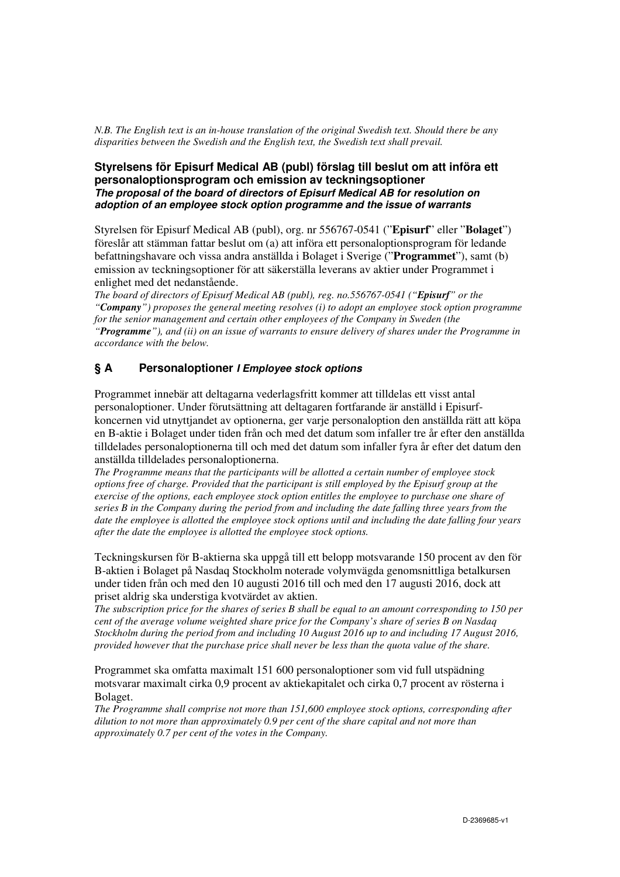*N.B. The English text is an in-house translation of the original Swedish text. Should there be any disparities between the Swedish and the English text, the Swedish text shall prevail.*

## **Styrelsens för Episurf Medical AB (publ) förslag till beslut om att införa ett personaloptionsprogram och emission av teckningsoptioner The proposal of the board of directors of Episurf Medical AB for resolution on adoption of an employee stock option programme and the issue of warrants**

Styrelsen för Episurf Medical AB (publ), org. nr 556767-0541 ("**Episurf**" eller "**Bolaget**") föreslår att stämman fattar beslut om (a) att införa ett personaloptionsprogram för ledande befattningshavare och vissa andra anställda i Bolaget i Sverige ("**Programmet**"), samt (b) emission av teckningsoptioner för att säkerställa leverans av aktier under Programmet i enlighet med det nedanstående.

*The board of directors of Episurf Medical AB (publ), reg. no.556767-0541 ("Episurf" or the "Company") proposes the general meeting resolves (i) to adopt an employee stock option programme for the senior management and certain other employees of the Company in Sweden (the "Programme"), and (ii) on an issue of warrants to ensure delivery of shares under the Programme in accordance with the below.* 

## **§ A Personaloptioner I Employee stock options**

Programmet innebär att deltagarna vederlagsfritt kommer att tilldelas ett visst antal personaloptioner. Under förutsättning att deltagaren fortfarande är anställd i Episurfkoncernen vid utnyttjandet av optionerna, ger varje personaloption den anställda rätt att köpa en B-aktie i Bolaget under tiden från och med det datum som infaller tre år efter den anställda tilldelades personaloptionerna till och med det datum som infaller fyra år efter det datum den anställda tilldelades personaloptionerna.

*The Programme means that the participants will be allotted a certain number of employee stock options free of charge. Provided that the participant is still employed by the Episurf group at the exercise of the options, each employee stock option entitles the employee to purchase one share of series B in the Company during the period from and including the date falling three years from the date the employee is allotted the employee stock options until and including the date falling four years after the date the employee is allotted the employee stock options.* 

Teckningskursen för B-aktierna ska uppgå till ett belopp motsvarande 150 procent av den för B-aktien i Bolaget på Nasdaq Stockholm noterade volymvägda genomsnittliga betalkursen under tiden från och med den 10 augusti 2016 till och med den 17 augusti 2016, dock att priset aldrig ska understiga kvotvärdet av aktien.

*The subscription price for the shares of series B shall be equal to an amount corresponding to 150 per cent of the average volume weighted share price for the Company's share of series B on Nasdaq Stockholm during the period from and including 10 August 2016 up to and including 17 August 2016, provided however that the purchase price shall never be less than the quota value of the share.* 

Programmet ska omfatta maximalt 151 600 personaloptioner som vid full utspädning motsvarar maximalt cirka 0,9 procent av aktiekapitalet och cirka 0,7 procent av rösterna i Bolaget.

*The Programme shall comprise not more than 151,600 employee stock options, corresponding after dilution to not more than approximately 0.9 per cent of the share capital and not more than approximately 0.7 per cent of the votes in the Company.*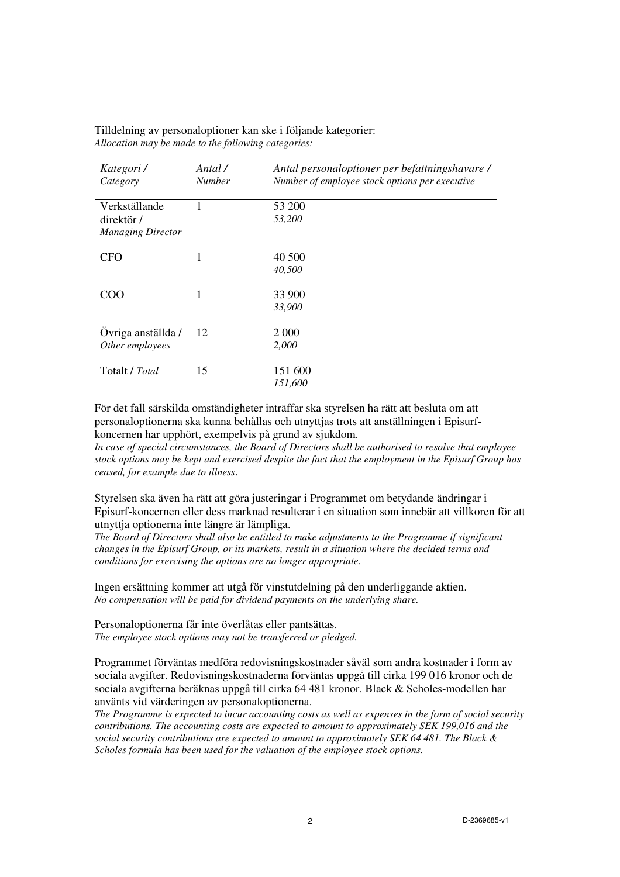| Kategori /<br>Category                                  | Antal /<br><b>Number</b> | Antal personaloptioner per befattningshavare /<br>Number of employee stock options per executive |
|---------------------------------------------------------|--------------------------|--------------------------------------------------------------------------------------------------|
| Verkställande<br>direktör /<br><b>Managing Director</b> |                          | 53 200<br>53,200                                                                                 |
| <b>CFO</b>                                              | 1                        | 40 500<br>40,500                                                                                 |
| COO                                                     | 1                        | 33 900<br>33,900                                                                                 |
| Ovriga anställda /<br>Other employees                   | 12                       | 2 0 0 0<br>2,000                                                                                 |
| Totalt / Total                                          | 15                       | 151 600<br>151,600                                                                               |

Tilldelning av personaloptioner kan ske i följande kategorier: *Allocation may be made to the following categories:*

För det fall särskilda omständigheter inträffar ska styrelsen ha rätt att besluta om att personaloptionerna ska kunna behållas och utnyttjas trots att anställningen i Episurfkoncernen har upphört, exempelvis på grund av sjukdom.

*In case of special circumstances, the Board of Directors shall be authorised to resolve that employee stock options may be kept and exercised despite the fact that the employment in the Episurf Group has ceased, for example due to illness*.

Styrelsen ska även ha rätt att göra justeringar i Programmet om betydande ändringar i Episurf-koncernen eller dess marknad resulterar i en situation som innebär att villkoren för att utnyttja optionerna inte längre är lämpliga.

*The Board of Directors shall also be entitled to make adjustments to the Programme if significant changes in the Episurf Group, or its markets, result in a situation where the decided terms and conditions for exercising the options are no longer appropriate.* 

Ingen ersättning kommer att utgå för vinstutdelning på den underliggande aktien. *No compensation will be paid for dividend payments on the underlying share.* 

Personaloptionerna får inte överlåtas eller pantsättas. *The employee stock options may not be transferred or pledged.* 

Programmet förväntas medföra redovisningskostnader såväl som andra kostnader i form av sociala avgifter. Redovisningskostnaderna förväntas uppgå till cirka 199 016 kronor och de sociala avgifterna beräknas uppgå till cirka 64 481 kronor. Black & Scholes-modellen har använts vid värderingen av personaloptionerna.

*The Programme is expected to incur accounting costs as well as expenses in the form of social security contributions. The accounting costs are expected to amount to approximately SEK 199,016 and the social security contributions are expected to amount to approximately SEK 64 481. The Black & Scholes formula has been used for the valuation of the employee stock options.*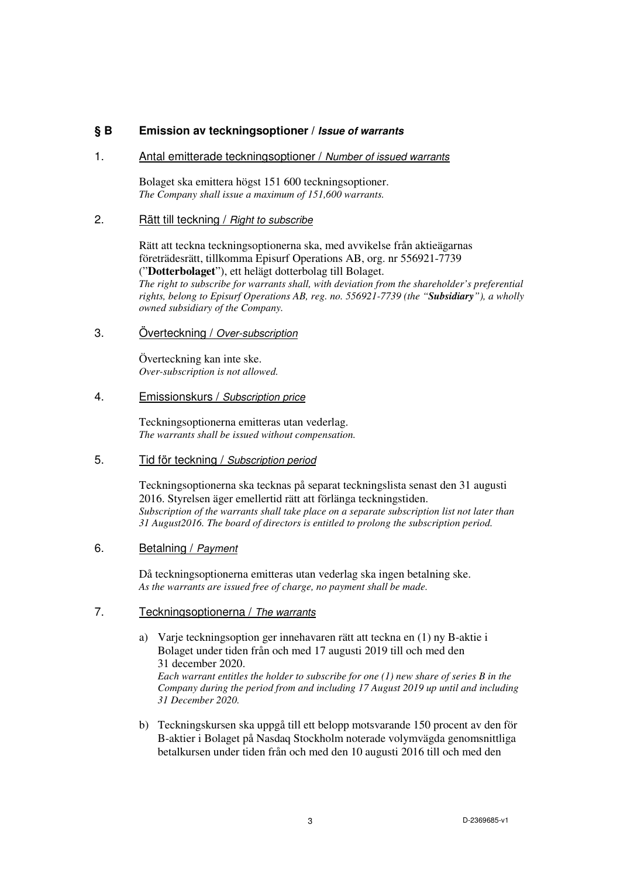# **§ B Emission av teckningsoptioner / Issue of warrants**

#### 1. Antal emitterade teckningsoptioner / Number of issued warrants

Bolaget ska emittera högst 151 600 teckningsoptioner. *The Company shall issue a maximum of 151,600 warrants.*

#### 2. Rätt till teckning / Right to subscribe

Rätt att teckna teckningsoptionerna ska, med avvikelse från aktieägarnas företrädesrätt, tillkomma Episurf Operations AB, org. nr 556921-7739 ("**Dotterbolaget**"), ett helägt dotterbolag till Bolaget. *The right to subscribe for warrants shall, with deviation from the shareholder's preferential rights, belong to Episurf Operations AB, reg. no. 556921-7739 (the "Subsidiary"), a wholly owned subsidiary of the Company.* 

#### 3. Överteckning / Over-subscription

 Överteckning kan inte ske. *Over-subscription is not allowed.*

#### 4. Emissionskurs / Subscription price

Teckningsoptionerna emitteras utan vederlag. *The warrants shall be issued without compensation.*

5. Tid för teckning / Subscription period

Teckningsoptionerna ska tecknas på separat teckningslista senast den 31 augusti 2016. Styrelsen äger emellertid rätt att förlänga teckningstiden. *Subscription of the warrants shall take place on a separate subscription list not later than 31 August2016. The board of directors is entitled to prolong the subscription period.* 

#### 6. Betalning / Payment

 Då teckningsoptionerna emitteras utan vederlag ska ingen betalning ske. *As the warrants are issued free of charge, no payment shall be made.* 

## 7. Teckningsoptionerna / The warrants

- a) Varje teckningsoption ger innehavaren rätt att teckna en (1) ny B-aktie i Bolaget under tiden från och med 17 augusti 2019 till och med den 31 december 2020. *Each warrant entitles the holder to subscribe for one (1) new share of series B in the Company during the period from and including 17 August 2019 up until and including 31 December 2020.*
- b) Teckningskursen ska uppgå till ett belopp motsvarande 150 procent av den för B-aktier i Bolaget på Nasdaq Stockholm noterade volymvägda genomsnittliga betalkursen under tiden från och med den 10 augusti 2016 till och med den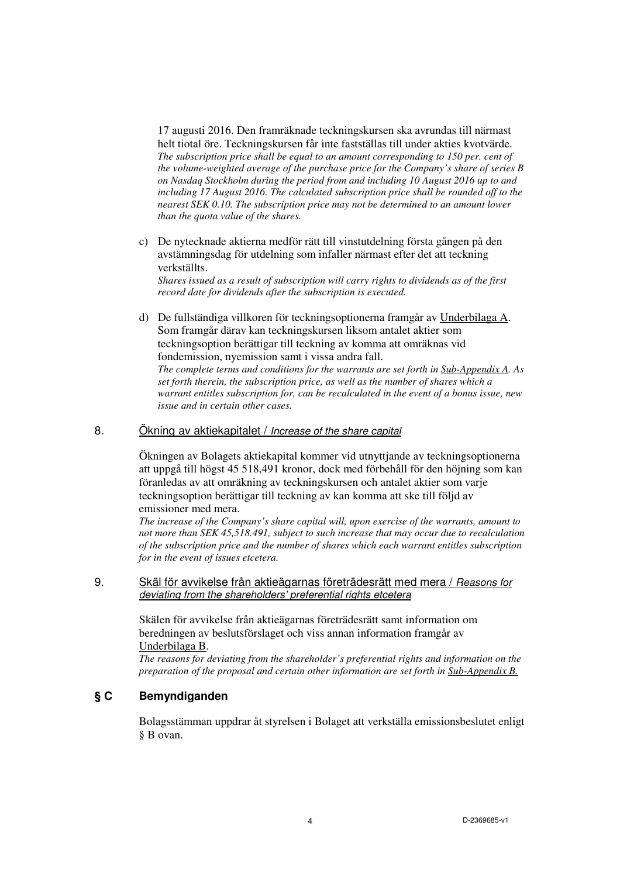17 augusti 2016. Den framräknade teckningskursen ska avrundas till närmast helt tiotal öre. Teckningskursen får inte fastställas till under akties kvotvärde. *The subscription price shall be equal to an amount corresponding to 150 per. cent of the volume-weighted average of the purchase price for the Company's share of series B on Nasdaq Stockholm during the period from and including 10 August 2016 up to and including 17 August 2016. The calculated subscription price shall be rounded off to the nearest SEK 0.10. The subscription price may not be determined to an amount lower than the quota value of the shares.* 

- c) De nytecknade aktierna medför rätt till vinstutdelning första gången på den avstämningsdag för utdelning som infaller närmast efter det att teckning verkställts. *Shares issued as a result of subscription will carry rights to dividends as of the first record date for dividends after the subscription is executed.*
- d) De fullständiga villkoren för teckningsoptionerna framgår av Underbilaga A. Som framgår därav kan teckningskursen liksom antalet aktier som teckningsoption berättigar till teckning av komma att omräknas vid fondemission, nyemission samt i vissa andra fall. *The complete terms and conditions for the warrants are set forth in Sub-Appendix A. As set forth therein, the subscription price, as well as the number of shares which a warrant entitles subscription for, can be recalculated in the event of a bonus issue, new issue and in certain other cases.*

### 8. Ökning av aktiekapitalet / *Increase of the share capital*

Ökningen av Bolagets aktiekapital kommer vid utnyttjande av teckningsoptionerna att uppgå till högst 45 518,491 kronor, dock med förbehåll för den höjning som kan föranledas av att omräkning av teckningskursen och antalet aktier som varje teckningsoption berättigar till teckning av kan komma att ske till följd av emissioner med mera.

*The increase of the Company's share capital will, upon exercise of the warrants, amount to not more than SEK 45,518.491, subject to such increase that may occur due to recalculation of the subscription price and the number of shares which each warrant entitles subscription for in the event of issues etcetera.* 

#### 9. Skäl för avvikelse från aktieägarnas företrädesrätt med mera / Reasons for deviating from the shareholders' preferential rights etcetera

Skälen för avvikelse från aktieägarnas företrädesrätt samt information om beredningen av beslutsförslaget och viss annan information framgår av Underbilaga B.

*The reasons for deviating from the shareholder's preferential rights and information on the preparation of the proposal and certain other information are set forth in Sub-Appendix B.* 

# **§ C Bemyndiganden**

Bolagsstämman uppdrar åt styrelsen i Bolaget att verkställa emissionsbeslutet enligt § B ovan.